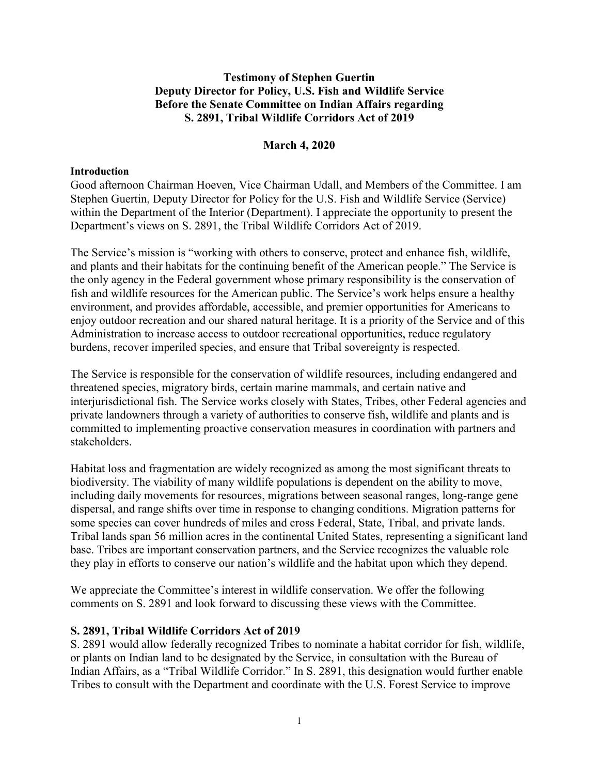# **Testimony of Stephen Guertin Deputy Director for Policy, U.S. Fish and Wildlife Service Before the Senate Committee on Indian Affairs regarding S. 2891, Tribal Wildlife Corridors Act of 2019**

## **March 4, 2020**

#### **Introduction**

Good afternoon Chairman Hoeven, Vice Chairman Udall, and Members of the Committee. I am Stephen Guertin, Deputy Director for Policy for the U.S. Fish and Wildlife Service (Service) within the Department of the Interior (Department). I appreciate the opportunity to present the Department's views on S. 2891, the Tribal Wildlife Corridors Act of 2019.

The Service's mission is "working with others to conserve, protect and enhance fish, wildlife, and plants and their habitats for the continuing benefit of the American people." The Service is the only agency in the Federal government whose primary responsibility is the conservation of fish and wildlife resources for the American public. The Service's work helps ensure a healthy environment, and provides affordable, accessible, and premier opportunities for Americans to enjoy outdoor recreation and our shared natural heritage. It is a priority of the Service and of this Administration to increase access to outdoor recreational opportunities, reduce regulatory burdens, recover imperiled species, and ensure that Tribal sovereignty is respected.

The Service is responsible for the conservation of wildlife resources, including endangered and threatened species, migratory birds, certain marine mammals, and certain native and interjurisdictional fish. The Service works closely with States, Tribes, other Federal agencies and private landowners through a variety of authorities to conserve fish, wildlife and plants and is committed to implementing proactive conservation measures in coordination with partners and stakeholders.

Habitat loss and fragmentation are widely recognized as among the most significant threats to biodiversity. The viability of many wildlife populations is dependent on the ability to move, including daily movements for resources, migrations between seasonal ranges, long-range gene dispersal, and range shifts over time in response to changing conditions. Migration patterns for some species can cover hundreds of miles and cross Federal, State, Tribal, and private lands. Tribal lands span 56 million acres in the continental United States, representing a significant land base. Tribes are important conservation partners, and the Service recognizes the valuable role they play in efforts to conserve our nation's wildlife and the habitat upon which they depend.

We appreciate the Committee's interest in wildlife conservation. We offer the following comments on S. 2891 and look forward to discussing these views with the Committee.

### **S. 2891, Tribal Wildlife Corridors Act of 2019**

S. 2891 would allow federally recognized Tribes to nominate a habitat corridor for fish, wildlife, or plants on Indian land to be designated by the Service, in consultation with the Bureau of Indian Affairs, as a "Tribal Wildlife Corridor." In S. 2891, this designation would further enable Tribes to consult with the Department and coordinate with the U.S. Forest Service to improve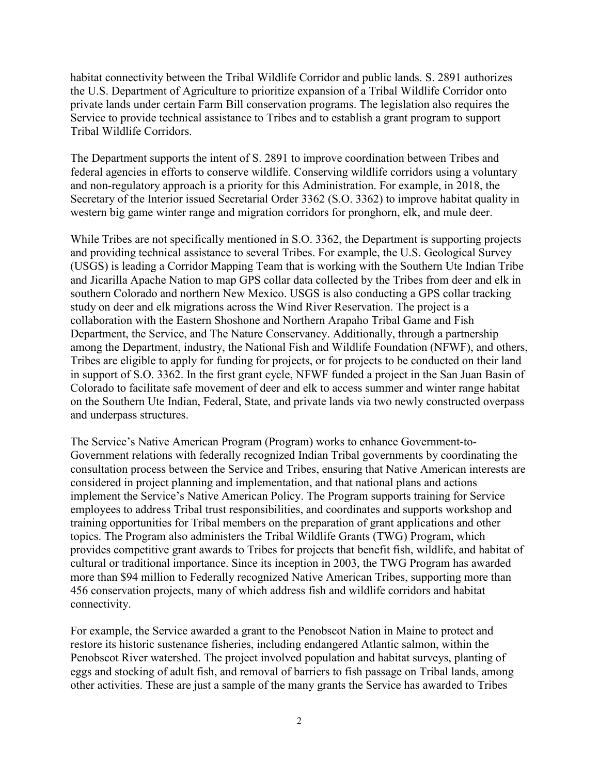habitat connectivity between the Tribal Wildlife Corridor and public lands. S. 2891 authorizes the U.S. Department of Agriculture to prioritize expansion of a Tribal Wildlife Corridor onto private lands under certain Farm Bill conservation programs. The legislation also requires the Service to provide technical assistance to Tribes and to establish a grant program to support Tribal Wildlife Corridors.

The Department supports the intent of S. 2891 to improve coordination between Tribes and federal agencies in efforts to conserve wildlife. Conserving wildlife corridors using a voluntary and non-regulatory approach is a priority for this Administration. For example, in 2018, the Secretary of the Interior issued Secretarial Order 3362 (S.O. 3362) to improve habitat quality in western big game winter range and migration corridors for pronghorn, elk, and mule deer.

While Tribes are not specifically mentioned in S.O. 3362, the Department is supporting projects and providing technical assistance to several Tribes. For example, the U.S. Geological Survey (USGS) is leading a Corridor Mapping Team that is working with the Southern Ute Indian Tribe and Jicarilla Apache Nation to map GPS collar data collected by the Tribes from deer and elk in southern Colorado and northern New Mexico. USGS is also conducting a GPS collar tracking study on deer and elk migrations across the Wind River Reservation. The project is a collaboration with the Eastern Shoshone and Northern Arapaho Tribal Game and Fish Department, the Service, and The Nature Conservancy. Additionally, through a partnership among the Department, industry, the National Fish and Wildlife Foundation (NFWF), and others, Tribes are eligible to apply for funding for projects, or for projects to be conducted on their land in support of S.O. 3362. In the first grant cycle, NFWF funded a project in the San Juan Basin of Colorado to facilitate safe movement of deer and elk to access summer and winter range habitat on the Southern Ute Indian, Federal, State, and private lands via two newly constructed overpass and underpass structures.

The Service's Native American Program (Program) works to enhance Government-to-Government relations with federally recognized Indian Tribal governments by coordinating the consultation process between the Service and Tribes, ensuring that Native American interests are considered in project planning and implementation, and that national plans and actions implement the Service's Native American Policy. The Program supports training for Service employees to address Tribal trust responsibilities, and coordinates and supports workshop and training opportunities for Tribal members on the preparation of grant applications and other topics. The Program also administers the Tribal Wildlife Grants (TWG) Program, which provides competitive grant awards to Tribes for projects that benefit fish, wildlife, and habitat of cultural or traditional importance. Since its inception in 2003, the TWG Program has awarded more than \$94 million to Federally recognized Native American Tribes, supporting more than 456 conservation projects, many of which address fish and wildlife corridors and habitat connectivity.

For example, the Service awarded a grant to the Penobscot Nation in Maine to protect and restore its historic sustenance fisheries, including endangered Atlantic salmon, within the Penobscot River watershed. The project involved population and habitat surveys, planting of eggs and stocking of adult fish, and removal of barriers to fish passage on Tribal lands, among other activities. These are just a sample of the many grants the Service has awarded to Tribes